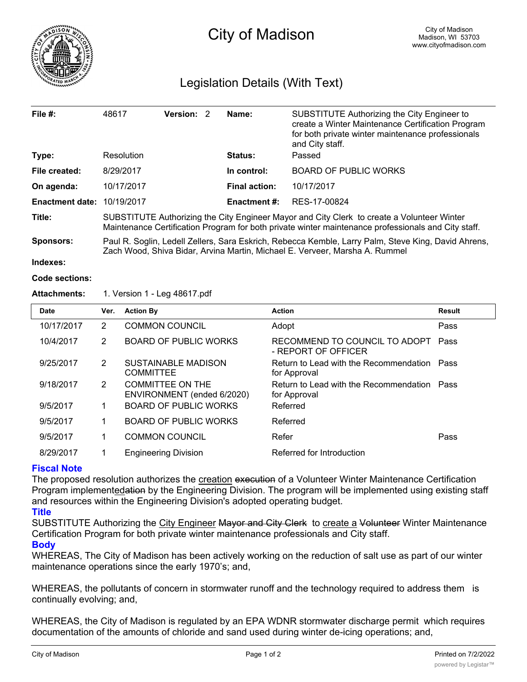

# Legislation Details (With Text)

| File $#$ :             | 48617                                                                                                                                                                                             | Version: 2 |  | Name:                | SUBSTITUTE Authorizing the City Engineer to<br>create a Winter Maintenance Certification Program<br>for both private winter maintenance professionals<br>and City staff. |  |  |
|------------------------|---------------------------------------------------------------------------------------------------------------------------------------------------------------------------------------------------|------------|--|----------------------|--------------------------------------------------------------------------------------------------------------------------------------------------------------------------|--|--|
| Type:                  | Resolution                                                                                                                                                                                        |            |  | <b>Status:</b>       | Passed                                                                                                                                                                   |  |  |
| File created:          | 8/29/2017                                                                                                                                                                                         |            |  | In control:          | <b>BOARD OF PUBLIC WORKS</b>                                                                                                                                             |  |  |
| On agenda:             | 10/17/2017                                                                                                                                                                                        |            |  | <b>Final action:</b> | 10/17/2017                                                                                                                                                               |  |  |
| <b>Enactment date:</b> | 10/19/2017                                                                                                                                                                                        |            |  | <b>Enactment #:</b>  | RES-17-00824                                                                                                                                                             |  |  |
| Title:                 | SUBSTITUTE Authorizing the City Engineer Mayor and City Clerk to create a Volunteer Winter<br>Maintenance Certification Program for both private winter maintenance professionals and City staff. |            |  |                      |                                                                                                                                                                          |  |  |
| <b>Sponsors:</b>       | Paul R. Soglin, Ledell Zellers, Sara Eskrich, Rebecca Kemble, Larry Palm, Steve King, David Ahrens,<br>Zach Wood, Shiva Bidar, Arvina Martin, Michael E. Verveer, Marsha A. Rummel                |            |  |                      |                                                                                                                                                                          |  |  |

**Indexes:**

**Code sections:**

#### **Attachments:** 1. Version 1 - Leg 48617.pdf

| <b>Date</b> | Ver. | <b>Action By</b>                                      | <b>Action</b>                                               | <b>Result</b> |
|-------------|------|-------------------------------------------------------|-------------------------------------------------------------|---------------|
| 10/17/2017  | 2    | <b>COMMON COUNCIL</b>                                 | Adopt                                                       | Pass          |
| 10/4/2017   | 2    | <b>BOARD OF PUBLIC WORKS</b>                          | RECOMMEND TO COUNCIL TO ADOPT<br>- REPORT OF OFFICER        | Pass          |
| 9/25/2017   | 2    | <b>SUSTAINABLE MADISON</b><br><b>COMMITTEE</b>        | Return to Lead with the Recommendation<br>for Approval      | Pass          |
| 9/18/2017   | 2    | <b>COMMITTEE ON THE</b><br>ENVIRONMENT (ended 6/2020) | Return to Lead with the Recommendation Pass<br>for Approval |               |
| 9/5/2017    | 1    | BOARD OF PUBLIC WORKS                                 | Referred                                                    |               |
| 9/5/2017    | 1    | BOARD OF PUBLIC WORKS                                 | Referred                                                    |               |
| 9/5/2017    | 1    | <b>COMMON COUNCIL</b>                                 | Refer                                                       | Pass          |
| 8/29/2017   |      | <b>Engineering Division</b>                           | Referred for Introduction                                   |               |

### **Fiscal Note**

The proposed resolution authorizes the creation execution of a Volunteer Winter Maintenance Certification Program implementedation by the Engineering Division. The program will be implemented using existing staff and resources within the Engineering Division's adopted operating budget.

#### **Title**

SUBSTITUTE Authorizing the City Engineer Mayor and City Clerk to create a Volunteer Winter Maintenance Certification Program for both private winter maintenance professionals and City staff.

## **Body**

WHEREAS, The City of Madison has been actively working on the reduction of salt use as part of our winter maintenance operations since the early 1970's; and,

WHEREAS, the pollutants of concern in stormwater runoff and the technology required to address them is continually evolving; and,

WHEREAS, the City of Madison is regulated by an EPA WDNR stormwater discharge permit which requires documentation of the amounts of chloride and sand used during winter de-icing operations; and,